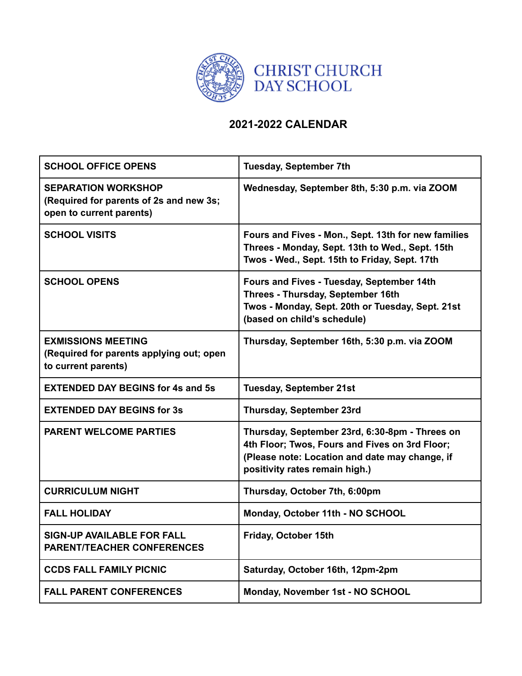

## **2021-2022 CALENDAR**

| <b>SCHOOL OFFICE OPENS</b>                                                                        | <b>Tuesday, September 7th</b>                                                                                                                                                        |
|---------------------------------------------------------------------------------------------------|--------------------------------------------------------------------------------------------------------------------------------------------------------------------------------------|
| <b>SEPARATION WORKSHOP</b><br>(Required for parents of 2s and new 3s;<br>open to current parents) | Wednesday, September 8th, 5:30 p.m. via ZOOM                                                                                                                                         |
| <b>SCHOOL VISITS</b>                                                                              | Fours and Fives - Mon., Sept. 13th for new families<br>Threes - Monday, Sept. 13th to Wed., Sept. 15th<br>Twos - Wed., Sept. 15th to Friday, Sept. 17th                              |
| <b>SCHOOL OPENS</b>                                                                               | Fours and Fives - Tuesday, September 14th<br>Threes - Thursday, September 16th<br>Twos - Monday, Sept. 20th or Tuesday, Sept. 21st<br>(based on child's schedule)                    |
| <b>EXMISSIONS MEETING</b><br>(Required for parents applying out; open<br>to current parents)      | Thursday, September 16th, 5:30 p.m. via ZOOM                                                                                                                                         |
| <b>EXTENDED DAY BEGINS for 4s and 5s</b>                                                          | <b>Tuesday, September 21st</b>                                                                                                                                                       |
| <b>EXTENDED DAY BEGINS for 3s</b>                                                                 | <b>Thursday, September 23rd</b>                                                                                                                                                      |
| <b>PARENT WELCOME PARTIES</b>                                                                     | Thursday, September 23rd, 6:30-8pm - Threes on<br>4th Floor; Twos, Fours and Fives on 3rd Floor;<br>(Please note: Location and date may change, if<br>positivity rates remain high.) |
| <b>CURRICULUM NIGHT</b>                                                                           | Thursday, October 7th, 6:00pm                                                                                                                                                        |
| <b>FALL HOLIDAY</b>                                                                               | Monday, October 11th - NO SCHOOL                                                                                                                                                     |
| <b>SIGN-UP AVAILABLE FOR FALL</b><br><b>PARENT/TEACHER CONFERENCES</b>                            | Friday, October 15th                                                                                                                                                                 |
| <b>CCDS FALL FAMILY PICNIC</b>                                                                    | Saturday, October 16th, 12pm-2pm                                                                                                                                                     |
| <b>FALL PARENT CONFERENCES</b>                                                                    | Monday, November 1st - NO SCHOOL                                                                                                                                                     |